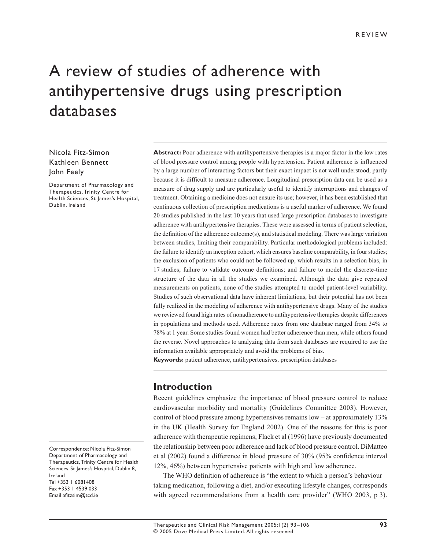#### REVIEW

# A review of studies of adherence with antihypertensive drugs using prescription databases

#### Nicola Fitz-Simon Kathleen Bennett John Feely

Department of Pharmacology and Therapeutics, Trinity Centre for Health Sciences, St James's Hospital, Dublin, Ireland

Correspondence: Nicola Fitz-Simon Department of Pharmacology and Therapeutics, Trinity Centre for Health Sciences, St James's Hospital, Dublin 8, Ireland Tel +353 1 6081408 Fax +353 1 4539 033 Email afitzsim@tcd.ie

**Abstract:** Poor adherence with antihypertensive therapies is a major factor in the low rates of blood pressure control among people with hypertension. Patient adherence is influenced by a large number of interacting factors but their exact impact is not well understood, partly because it is difficult to measure adherence. Longitudinal prescription data can be used as a measure of drug supply and are particularly useful to identify interruptions and changes of treatment. Obtaining a medicine does not ensure its use; however, it has been established that continuous collection of prescription medications is a useful marker of adherence. We found 20 studies published in the last 10 years that used large prescription databases to investigate adherence with antihypertensive therapies. These were assessed in terms of patient selection, the definition of the adherence outcome(s), and statistical modeling. There was large variation between studies, limiting their comparability. Particular methodological problems included: the failure to identify an inception cohort, which ensures baseline comparability, in four studies; the exclusion of patients who could not be followed up, which results in a selection bias, in 17 studies; failure to validate outcome definitions; and failure to model the discrete-time structure of the data in all the studies we examined. Although the data give repeated measurements on patients, none of the studies attempted to model patient-level variability. Studies of such observational data have inherent limitations, but their potential has not been fully realized in the modeling of adherence with antihypertensive drugs. Many of the studies we reviewed found high rates of nonadherence to antihypertensive therapies despite differences in populations and methods used. Adherence rates from one database ranged from 34% to 78% at 1 year. Some studies found women had better adherence than men, while others found the reverse. Novel approaches to analyzing data from such databases are required to use the information available appropriately and avoid the problems of bias.

**Keywords:** patient adherence, antihypertensives, prescription databases

#### **Introduction**

Recent guidelines emphasize the importance of blood pressure control to reduce cardiovascular morbidity and mortality (Guidelines Committee 2003). However, control of blood pressure among hypertensives remains low – at approximately 13% in the UK (Health Survey for England 2002). One of the reasons for this is poor adherence with therapeutic regimens; Flack et al (1996) have previously documented the relationship between poor adherence and lack of blood pressure control. DiMatteo et al (2002) found a difference in blood pressure of 30% (95% confidence interval 12%, 46%) between hypertensive patients with high and low adherence.

The WHO definition of adherence is "the extent to which a person's behaviour – taking medication, following a diet, and/or executing lifestyle changes, corresponds with agreed recommendations from a health care provider" (WHO 2003, p 3).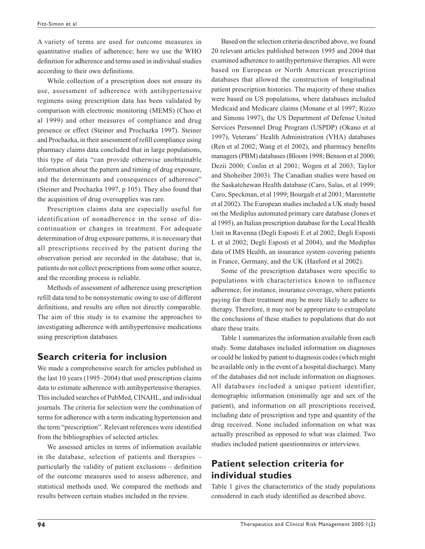A variety of terms are used for outcome measures in quantitative studies of adherence; here we use the WHO definition for adherence and terms used in individual studies according to their own definitions.

While collection of a prescription does not ensure its use, assessment of adherence with antihypertensive regimens using prescription data has been validated by comparison with electronic monitoring (MEMS) (Choo et al 1999) and other measures of compliance and drug presence or effect (Steiner and Prochazka 1997). Steiner and Prochazka, in their assessment of refill compliance using pharmacy claims data concluded that in large populations, this type of data "can provide otherwise unobtainable information about the pattern and timing of drug exposure, and the determinants and consequences of adherence" (Steiner and Prochazka 1997, p 105). They also found that the acquisition of drug oversupplies was rare.

Prescription claims data are especially useful for identification of nonadherence in the sense of discontinuation or changes in treatment. For adequate determination of drug exposure patterns, it is necessary that all prescriptions received by the patient during the observation period are recorded in the database; that is, patients do not collect prescriptions from some other source, and the recording process is reliable.

Methods of assessment of adherence using prescription refill data tend to be nonsystematic owing to use of different definitions, and results are often not directly comparable. The aim of this study is to examine the approaches to investigating adherence with antihypertensive medications using prescription databases.

#### **Search criteria for inclusion**

We made a comprehensive search for articles published in the last 10 years (1995–2004) that used prescription claims data to estimate adherence with antihypertensive therapies. This included searches of PubMed, CINAHL, and individual journals. The criteria for selection were the combination of terms for adherence with a term indicating hypertension and the term "prescription". Relevant references were identified from the bibliographies of selected articles.

We assessed articles in terms of information available in the database, selection of patients and therapies – particularly the validity of patient exclusions – definition of the outcome measures used to assess adherence, and statistical methods used. We compared the methods and results between certain studies included in the review.

Based on the selection criteria described above, we found 20 relevant articles published between 1995 and 2004 that examined adherence to antihypertensive therapies. All were based on European or North American prescription databases that allowed the construction of longitudinal patient prescription histories. The majority of these studies were based on US populations, where databases included Medicaid and Medicare claims (Monane et al 1997; Rizzo and Simons 1997), the US Department of Defense United Services Personnel Drug Program (USPDP) (Okano et al 1997), Veterans' Health Administration (VHA) databases (Ren et al 2002; Wang et el 2002), and pharmacy benefits managers (PBM) databases (Bloom 1998; Benson et al 2000; Dezii 2000; Conlin et al 2001; Wogen et al 2003; Taylor and Shoheiber 2003). The Canadian studies were based on the Saskatchewan Health database (Caro, Salas, et al 1999; Caro, Speckman, et al 1999; Bourgalt et al 2001; Marentette et al 2002). The European studies included a UK study based on the Mediplus automated primary care database (Jones et al 1995), an Italian prescription database for the Local Health Unit in Ravenna (Degli Esposti E et al 2002; Degli Esposti L et al 2002; Degli Esposti et al 2004), and the Mediplus data of IMS Health, an insurance system covering patients in France, Germany, and the UK (Hasford et al 2002).

Some of the prescription databases were specific to populations with characteristics known to influence adherence; for instance, insurance coverage, where patients paying for their treatment may be more likely to adhere to therapy. Therefore, it may not be appropriate to extrapolate the conclusions of these studies to populations that do not share these traits.

Table 1 summarizes the information available from each study. Some databases included information on diagnoses or could be linked by patient to diagnosis codes (which might be available only in the event of a hospital discharge). Many of the databases did not include information on diagnoses. All databases included a unique patient identifier, demographic information (minimally age and sex of the patient), and information on all prescriptions received, including date of prescription and type and quantity of the drug received. None included information on what was actually prescribed as opposed to what was claimed. Two studies included patient questionnaires or interviews.

# **Patient selection criteria for individual studies**

Table 1 gives the characteristics of the study populations considered in each study identified as described above.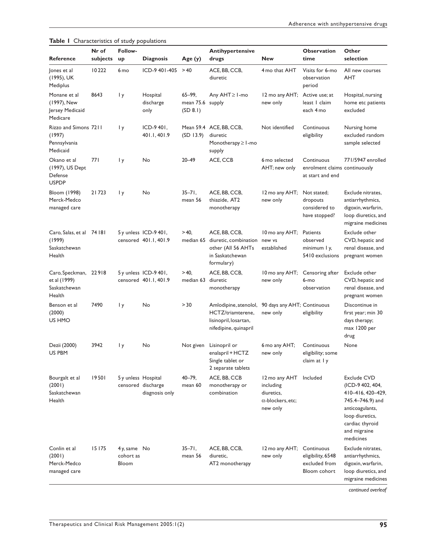|                                                                 | Nr of    | Follow-                           |                                                |                                            | Antihypertensive                                                                              |                                                                                  | <b>Observation</b>                                               | Other                                                                                                                                                          |
|-----------------------------------------------------------------|----------|-----------------------------------|------------------------------------------------|--------------------------------------------|-----------------------------------------------------------------------------------------------|----------------------------------------------------------------------------------|------------------------------------------------------------------|----------------------------------------------------------------------------------------------------------------------------------------------------------------|
| <b>Reference</b>                                                | subjects | up                                | <b>Diagnosis</b>                               | Age(y)                                     | drugs                                                                                         | <b>New</b>                                                                       | time                                                             | selection                                                                                                                                                      |
| Jones et al<br>(1995), UK<br>Mediplus                           | 10222    | 6 <sub>mo</sub>                   | $ICD-9$ 401-405 > 40                           |                                            | ACE, BB, CCB,<br>diuretic                                                                     | 4 mo that AHT                                                                    | Visits for 6-mo<br>observation<br>period                         | All new courses<br>AHT                                                                                                                                         |
| Monane et al<br>(1997), New<br>Jersey Medicaid<br>Medicare      | 8643     | I y                               | Hospital<br>discharge<br>only                  | $65 - 99,$<br>mean 75.6 supply<br>(SD 8.1) | Any AHT≥ I-mo                                                                                 | 12 mo any AHT;<br>new only                                                       | Active use: at<br>least I claim<br>each 4 mo                     | Hospital, nursing<br>home etc patients<br>excluded                                                                                                             |
| Rizzo and Simons 7211<br>(1997)<br>Pennsylvania<br>Medicaid     |          | 1 y                               | $ICD-9401.$<br>401.1, 401.9                    | (SD 13.9)                                  | Mean 59.4 ACE, BB, CCB,<br>diuretic<br>Monotherapy ≥ I-mo<br>supply                           | Not identified                                                                   | Continuous<br>eligibility                                        | Nursing home<br>excluded random<br>sample selected                                                                                                             |
| Okano et al<br>(1997), US Dept<br>Defense<br><b>USPDP</b>       | 771      | I y                               | No                                             | $20 - 49$                                  | ACE, CCB                                                                                      | 6 mo selected<br>AHT; new only                                                   | Continuous<br>enrolment claims continuously<br>at start and end  | 771/5947 enrolled                                                                                                                                              |
| Bloom (1998)<br>Merck-Medco<br>managed care                     | 21723    | 1 y                               | No                                             | $35 - 71$ .<br>mean 56                     | ACE, BB, CCB,<br>thiazide, AT2<br>monotherapy                                                 | 12 mo any AHT;<br>new only                                                       | Not stated;<br>dropouts<br>considered to<br>have stopped?        | Exclude nitrates.<br>antiarrhythmics,<br>digoxin, warfarin,<br>loop diuretics, and<br>migraine medicines                                                       |
| Caro, Salas, et al 74 181<br>(1999)<br>Saskatchewan<br>Health   |          |                                   | 5 y unless ICD-9 401,<br>censored 401.1, 401.9 | $>40$ ,<br>median 65                       | ACE, BB, CCB,<br>diuretic, combination<br>other (All 56 AHTs<br>in Saskatchewan<br>formulary) | 10 mo any AHT;<br>new vs<br>established                                          | Patients<br>observed<br>minimum I y,<br>5410 exclusions          | Exclude other<br>CVD, hepatic and<br>renal disease, and<br>pregnant women                                                                                      |
| Caro, Speckman, 22918<br>et al (1999)<br>Saskatchewan<br>Health |          |                                   | 5 y unless ICD-9 401,<br>censored 401.1, 401.9 | $>40$ ,<br>median 63                       | ACE, BB, CCB,<br>diuretic<br>monotherapy                                                      | 10 mo any AHT;<br>new only                                                       | Censoring after<br>6-mo<br>observation                           | Exclude other<br>CVD, hepatic and<br>renal disease, and<br>pregnant women                                                                                      |
| Benson et al<br>(2000)<br>US HMO                                | 7490     | 1 y                               | No                                             | > 30                                       | Amlodipine, atenolol,<br>HCTZ/triamterene,<br>lisinopril, losartan,<br>nifedipine, quinapril  | 90 days any AHT; Continuous<br>new only                                          | eligibility                                                      | Discontinue in<br>first year; min 30<br>days therapy;<br>max 1200 per<br>drug                                                                                  |
| Dezii (2000)<br>US PBM                                          | 3942     | l y                               | No                                             | Not given                                  | Lisinopril or<br>enalapril + HCTZ<br>Single tablet or<br>2 separate tablets                   | 6 mo any AHT;<br>new only                                                        | Continuous<br>eligibility; some<br>claim at I y                  | None                                                                                                                                                           |
| Bourgalt et al<br>(2001)<br>Saskatchewan<br>Health              | 19501    | 5 y unless Hospital               | censored discharge<br>diagnosis only           | $40 - 79$ ,<br>mean 60                     | ACE, BB, CCB<br>monotherapy or<br>combination                                                 | 12 mo any AHT<br>including<br>diuretics,<br>$\alpha$ -blockers, etc:<br>new only | Included                                                         | Exclude CVD<br>(ICD-9 402, 404,<br>410-416, 420-429,<br>745.4–746.9) and<br>anticoagulants,<br>loop diuretics,<br>cardiac thyroid<br>and migraine<br>medicines |
| Conlin et al<br>(2001)<br>Merck-Medco<br>managed care           | 15175    | 4y, same No<br>cohort as<br>Bloom |                                                | $35 - 71$ ,<br>mean 56                     | ACE, BB, CCB,<br>diuretic,<br>AT2 monotherapy                                                 | 12 mo any AHT;<br>new only                                                       | Continuous<br>eligibility, 6548<br>excluded from<br>Bloom cohort | Exclude nitrates,<br>antiarrhythmics,<br>digoxin, warfarin,<br>loop diuretics, and<br>migraine medicines                                                       |

**Table 1** Characteristics of study populations

*continued overleaf*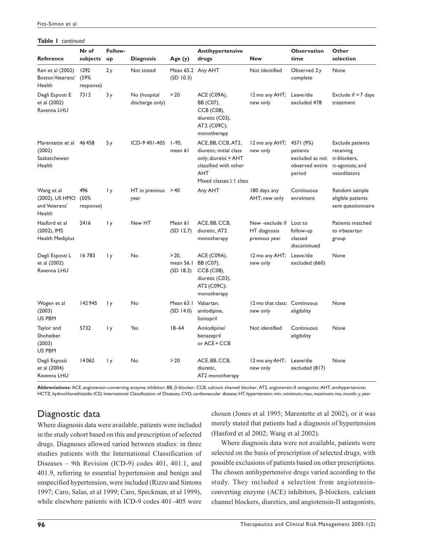#### **Table 1** *continued*

| <b>Reference</b>                                            | Nr of<br>subjects         | Follow-<br>up | <b>Diagnosis</b>                | Age (y)                            | <b>Antihypertensive</b><br>drugs                                                                                                             | <b>New</b>                                       | <b>Observation</b><br>time                                            | Other<br>selection                                                                                     |
|-------------------------------------------------------------|---------------------------|---------------|---------------------------------|------------------------------------|----------------------------------------------------------------------------------------------------------------------------------------------|--------------------------------------------------|-----------------------------------------------------------------------|--------------------------------------------------------------------------------------------------------|
| Ren et al (2002)<br>Boston Veterans'<br>Health              | 1292<br>(59%<br>response) | 2y            | Not stated                      | Mean 65.2 Any AHT<br>(SD 10.3)     |                                                                                                                                              | Not identified                                   | Observed 2y<br>complete                                               | None                                                                                                   |
| Degli Esposti E<br>et al (2002)<br>Ravenna LHU              | 7312                      | 3y            | No (hospital<br>discharge only) | > 20                               | ACE (C09A),<br>BB (C07),<br>CCB (C08),<br>diuretic (C03),<br>AT2 (C09C);<br>monotherapy                                                      | 12 mo any AHT;<br>new only                       | Leave/die<br>excluded 478                                             | Exclude if $<$ 7 days<br>treatment                                                                     |
| Marentette et al 46 458<br>(2002)<br>Saskatchewan<br>Health |                           | 5у            | ICD-9 401-405 1-95,             | mean 61                            | ACE, BB, CCB, AT2,<br>diuretic; initial class<br>only; diuretic + AHT<br>classified with other<br><b>AHT</b><br>Mixed classes $\geq$ I class | 12 mo any AHT;<br>new only                       | 4571 (9%)<br>patients<br>excluded as not<br>observed entire<br>period | <b>Exclude patients</b><br>receiving<br>$\alpha$ -blockers,<br>$\alpha$ -agonists, and<br>vasodilators |
| Wang et al<br>(2002), US HMO<br>and Veterans'<br>Health     | 496<br>(50%<br>response)  | l y           | HT in previous $>40$<br>year    |                                    | Any AHT                                                                                                                                      | 180 days any<br>AHT; new only                    | Continuous<br>enrolment                                               | Random sample<br>eligible patients<br>sent questionnaire                                               |
| Hasford et al<br>(2002), IMS<br>Health Mediplus             | 2416                      | l y           | New HT                          | Mean 61<br>(SD 12.7)               | ACE, BB, CCB,<br>diuretic, AT2<br>monotherapy                                                                                                | New -exclude if<br>HT diagnosis<br>previous year | Lost to<br>follow-up<br>classed<br>discontinued                       | Patients matched<br>to irbesartan<br>group                                                             |
| Degli Esposti L<br>et al (2002)<br>Ravenna LHU              | 16783                     | 1 y           | No                              | $> 20$ ,<br>mean 56.1<br>(SD 18.3) | ACE (C09A),<br>BB (C07),<br>CCB (C08),<br>diuretic (C03),<br>AT2 (C09C);<br>monotherapy                                                      | 12 mo any AHT;<br>new only                       | Leave/die<br>excluded (660)                                           | None                                                                                                   |
| Wogen et al<br>(2003)<br>US PBM                             | 142945                    | 1 y           | No                              | Mean 63.1<br>(SD 14.0)             | Valsartan.<br>amlodipine,<br>lisinopril                                                                                                      | 12 mo that class:<br>new only                    | Continuous<br>eligibility                                             | None                                                                                                   |
| Taylor and<br>Shoheiber<br>(2003)<br>US PBM                 | 5732                      | 1 y           | Yes                             | $18 - 64$                          | Amlodipine/<br>benazepril<br>or ACE + CCB                                                                                                    | Not identified                                   | Continuous<br>eligibility                                             | None                                                                                                   |
| Degli Esposti<br>et al (2004)<br>Ravenna LHU                | 14062                     | 1 y           | No                              | > 20                               | ACE, BB, CCB,<br>diuretic,<br>AT2 monotherapy                                                                                                | 12 mo any AHT;<br>new only                       | Leave/die<br>excluded (817)                                           | None                                                                                                   |

**Abbreviations:** ACE, angiotensin-converting enzyme inhibitor; BB, β-blocker; CCB, calcium channel blocker; AT2, angiotensin-II antagonist; AHT, antihypertensive; HCTZ, hydrochlorothiazide; ICD, International Classification of Diseases; CVD, cardiovascular disease; HT, hypertension; min, minimum; max, maximum; mo, month; y, year.

# Diagnostic data

Where diagnosis data were available, patients were included in the study cohort based on this and prescription of selected drugs. Diagnoses allowed varied between studies: in three studies patients with the International Classification of Diseases – 9th Revision (ICD-9) codes 401, 401.1, and 401.9, referring to essential hypertension and benign and unspecified hypertension, were included (Rizzo and Simons 1997; Caro, Salas, et al 1999; Caro, Speckman, et al 1999), while elsewhere patients with ICD-9 codes 401–405 were chosen (Jones et al 1995; Marentette et al 2002), or it was merely stated that patients had a diagnosis of hypertension (Hasford et al 2002; Wang et al 2002).

Where diagnosis data were not available, patients were selected on the basis of prescription of selected drugs, with possible exclusions of patients based on other prescriptions. The chosen antihypertensive drugs varied according to the study. They included a selection from angiotensinconverting enzyme (ACE) inhibitors, β-blockers, calcium channel blockers, diuretics, and angiotensin-II antagonists,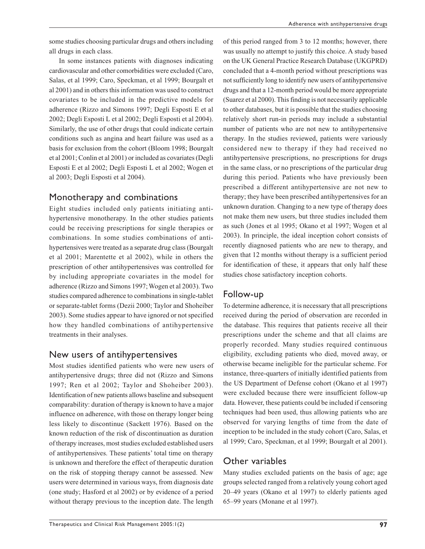In some instances patients with diagnoses indicating cardiovascular and other comorbidities were excluded (Caro, Salas, et al 1999; Caro, Speckman, et al 1999; Bourgalt et al 2001) and in others this information was used to construct covariates to be included in the predictive models for adherence (Rizzo and Simons 1997; Degli Esposti E et al 2002; Degli Esposti L et al 2002; Degli Esposti et al 2004). Similarly, the use of other drugs that could indicate certain conditions such as angina and heart failure was used as a basis for exclusion from the cohort (Bloom 1998; Bourgalt et al 2001; Conlin et al 2001) or included as covariates (Degli Esposti E et al 2002; Degli Esposti L et al 2002; Wogen et al 2003; Degli Esposti et al 2004).

# Monotherapy and combinations

Eight studies included only patients initiating antihypertensive monotherapy. In the other studies patients could be receiving prescriptions for single therapies or combinations. In some studies combinations of antihypertensives were treated as a separate drug class (Bourgalt et al 2001; Marentette et al 2002), while in others the prescription of other antihypertensives was controlled for by including appropriate covariates in the model for adherence (Rizzo and Simons 1997; Wogen et al 2003). Two studies compared adherence to combinations in single-tablet or separate-tablet forms (Dezii 2000; Taylor and Shoheiber 2003). Some studies appear to have ignored or not specified how they handled combinations of antihypertensive treatments in their analyses.

# New users of antihypertensives

Most studies identified patients who were new users of antihypertensive drugs; three did not (Rizzo and Simons 1997; Ren et al 2002; Taylor and Shoheiber 2003). Identification of new patients allows baseline and subsequent comparability: duration of therapy is known to have a major influence on adherence, with those on therapy longer being less likely to discontinue (Sackett 1976). Based on the known reduction of the risk of discontinuation as duration of therapy increases, most studies excluded established users of antihypertensives. These patients' total time on therapy is unknown and therefore the effect of therapeutic duration on the risk of stopping therapy cannot be assessed. New users were determined in various ways, from diagnosis date (one study; Hasford et al 2002) or by evidence of a period without therapy previous to the inception date. The length

of this period ranged from 3 to 12 months; however, there was usually no attempt to justify this choice. A study based on the UK General Practice Research Database (UKGPRD) concluded that a 4-month period without prescriptions was not sufficiently long to identify new users of antihypertensive drugs and that a 12-month period would be more appropriate (Suarez et al 2000). This finding is not necessarily applicable to other databases, but it is possible that the studies choosing relatively short run-in periods may include a substantial number of patients who are not new to antihypertensive therapy. In the studies reviewed, patients were variously considered new to therapy if they had received no antihypertensive prescriptions, no prescriptions for drugs in the same class, or no prescriptions of the particular drug during this period. Patients who have previously been prescribed a different antihypertensive are not new to therapy; they have been prescribed antihypertensives for an unknown duration. Changing to a new type of therapy does not make them new users, but three studies included them as such (Jones et al 1995; Okano et al 1997; Wogen et al 2003). In principle, the ideal inception cohort consists of recently diagnosed patients who are new to therapy, and given that 12 months without therapy is a sufficient period for identification of these, it appears that only half these studies chose satisfactory inception cohorts.

# Follow-up

To determine adherence, it is necessary that all prescriptions received during the period of observation are recorded in the database. This requires that patients receive all their prescriptions under the scheme and that all claims are properly recorded. Many studies required continuous eligibility, excluding patients who died, moved away, or otherwise became ineligible for the particular scheme. For instance, three-quarters of initially identified patients from the US Department of Defense cohort (Okano et al 1997) were excluded because there were insufficient follow-up data. However, these patients could be included if censoring techniques had been used, thus allowing patients who are observed for varying lengths of time from the date of inception to be included in the study cohort (Caro, Salas, et al 1999; Caro, Speckman, et al 1999; Bourgalt et al 2001).

# Other variables

Many studies excluded patients on the basis of age; age groups selected ranged from a relatively young cohort aged 20–49 years (Okano et al 1997) to elderly patients aged 65–99 years (Monane et al 1997).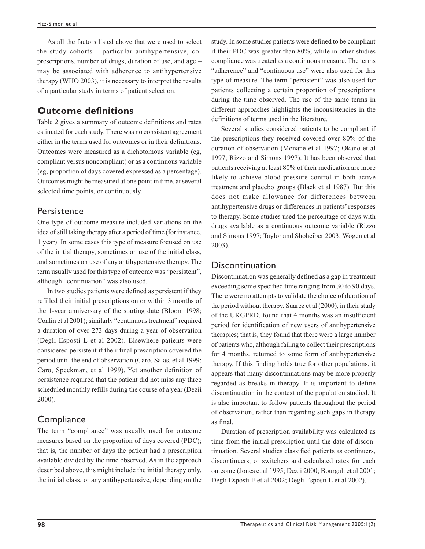As all the factors listed above that were used to select the study cohorts – particular antihypertensive, coprescriptions, number of drugs, duration of use, and age – may be associated with adherence to antihypertensive therapy (WHO 2003), it is necessary to interpret the results of a particular study in terms of patient selection.

#### **Outcome definitions**

Table 2 gives a summary of outcome definitions and rates estimated for each study. There was no consistent agreement either in the terms used for outcomes or in their definitions. Outcomes were measured as a dichotomous variable (eg, compliant versus noncompliant) or as a continuous variable (eg, proportion of days covered expressed as a percentage). Outcomes might be measured at one point in time, at several selected time points, or continuously.

#### **Persistence**

One type of outcome measure included variations on the idea of still taking therapy after a period of time (for instance, 1 year). In some cases this type of measure focused on use of the initial therapy, sometimes on use of the initial class, and sometimes on use of any antihypertensive therapy. The term usually used for this type of outcome was "persistent", although "continuation" was also used.

In two studies patients were defined as persistent if they refilled their initial prescriptions on or within 3 months of the 1-year anniversary of the starting date (Bloom 1998; Conlin et al 2001); similarly "continuous treatment" required a duration of over 273 days during a year of observation (Degli Esposti L et al 2002). Elsewhere patients were considered persistent if their final prescription covered the period until the end of observation (Caro, Salas, et al 1999; Caro, Speckman, et al 1999). Yet another definition of persistence required that the patient did not miss any three scheduled monthly refills during the course of a year (Dezii 2000).

## **Compliance**

The term "compliance" was usually used for outcome measures based on the proportion of days covered (PDC); that is, the number of days the patient had a prescription available divided by the time observed. As in the approach described above, this might include the initial therapy only, the initial class, or any antihypertensive, depending on the study. In some studies patients were defined to be compliant if their PDC was greater than 80%, while in other studies compliance was treated as a continuous measure. The terms "adherence" and "continuous use" were also used for this type of measure. The term "persistent" was also used for patients collecting a certain proportion of prescriptions during the time observed. The use of the same terms in different approaches highlights the inconsistencies in the definitions of terms used in the literature.

Several studies considered patients to be compliant if the prescriptions they received covered over 80% of the duration of observation (Monane et al 1997; Okano et al 1997; Rizzo and Simons 1997). It has been observed that patients receiving at least 80% of their medication are more likely to achieve blood pressure control in both active treatment and placebo groups (Black et al 1987). But this does not make allowance for differences between antihypertensive drugs or differences in patients' responses to therapy. Some studies used the percentage of days with drugs available as a continuous outcome variable (Rizzo and Simons 1997; Taylor and Shoheiber 2003; Wogen et al 2003).

#### Discontinuation

Discontinuation was generally defined as a gap in treatment exceeding some specified time ranging from 30 to 90 days. There were no attempts to validate the choice of duration of the period without therapy. Suarez et al (2000), in their study of the UKGPRD, found that 4 months was an insufficient period for identification of new users of antihypertensive therapies; that is, they found that there were a large number of patients who, although failing to collect their prescriptions for 4 months, returned to some form of antihypertensive therapy. If this finding holds true for other populations, it appears that many discontinuations may be more properly regarded as breaks in therapy. It is important to define discontinuation in the context of the population studied. It is also important to follow patients throughout the period of observation, rather than regarding such gaps in therapy as final.

Duration of prescription availability was calculated as time from the initial prescription until the date of discontinuation. Several studies classified patients as continuers, discontinuers, or switchers and calculated rates for each outcome (Jones et al 1995; Dezii 2000; Bourgalt et al 2001; Degli Esposti E et al 2002; Degli Esposti L et al 2002).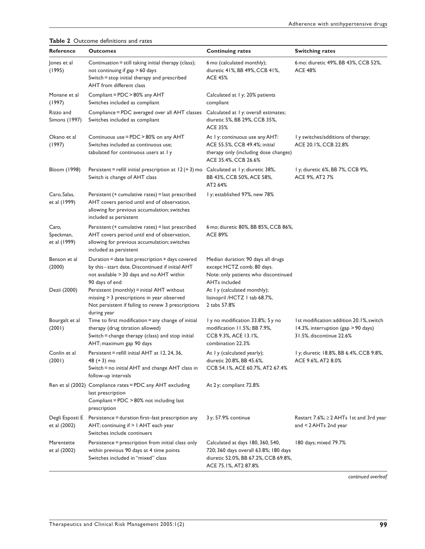| Reference                          | <b>Outcomes</b>                                                                                                                                                            | <b>Continuing rates</b>                                                                                                                    | <b>Switching rates</b>                                                                                      |  |
|------------------------------------|----------------------------------------------------------------------------------------------------------------------------------------------------------------------------|--------------------------------------------------------------------------------------------------------------------------------------------|-------------------------------------------------------------------------------------------------------------|--|
| Jones et al<br>(1995)              | Continuation = still taking initial therapy (class);<br>not continuing if gap > 60 days<br>Switch = stop initial therapy and prescribed<br>AHT from different class        | 6 mo (calculated monthly);<br>diuretic 41%, BB 49%, CCB 41%,<br>ACE 45%                                                                    | 6 mo: diuretic 49%, BB 43%, CCB 52%,<br><b>ACE 48%</b>                                                      |  |
| Monane et al<br>(1997)             | Compliant = PDC > 80% any AHT<br>Switches included as compliant                                                                                                            | Calculated at 1 y; 20% patients<br>compliant                                                                                               |                                                                                                             |  |
| Rizzo and<br>Simons (1997)         | Compliance = PDC averaged over all AHT classes<br>Switches included as compliant                                                                                           | Calculated at 1 y: overall estimates;<br>diuretic 5%, BB 29%, CCB 35%,<br><b>ACE 35%</b>                                                   |                                                                                                             |  |
| Okano et al<br>(1997)              | Continuous use = PDC > 80% on any AHT<br>Switches included as continuous use;<br>tabulated for continuous users at Iy                                                      | At I y: continuous use any AHT:<br>ACE 55.5%, CCB 49.4%; initial<br>therapy only (including dose changes)<br>ACE 35.4%, CCB 26.6%          | I y switches/additions of therapy;<br>ACE 20.1%, CCB 22.8%                                                  |  |
| Bloom (1998)                       | Persistent = refill initial prescription at $12 (+ 3)$ mo Calculated at I y; diuretic 38%,<br>Switch is change of AHT class                                                | BB 43%, CCB 50%, ACE 58%,<br>AT2 64%                                                                                                       | l y; diuretic 6%, BB 7%, CCB 9%,<br>ACE 9%, AT2 7%                                                          |  |
| Caro, Salas,<br>et al (1999)       | Persistent (+ cumulative rates) = last prescribed<br>AHT covers period until end of observation,<br>allowing for previous accumulation; switches<br>included as persistent | I y; established 97%, new 78%                                                                                                              |                                                                                                             |  |
| Caro,<br>Speckman,<br>et al (1999) | Persistent (+ cumulative rates) = last prescribed<br>AHT covers period until end of observation,<br>allowing for previous accumulation; switches<br>included as persistent | 6 mo; diuretic 80%, BB 85%, CCB 86%,<br><b>ACE 89%</b>                                                                                     |                                                                                                             |  |
| Benson et al<br>(2000)             | Duration = date last prescription + days covered<br>by this-start date. Discontinued if initial AHT<br>not available > 30 days and no AHT within<br>90 days of end         | Median duration: 90 days all drugs<br>except HCTZ comb. 80 days.<br>Note: only patients who discontinued<br><b>AHTs included</b>           |                                                                                                             |  |
| Dezii (2000)                       | Persistent (monthly) = initial AHT without<br>missing > 3 prescriptions in year observed<br>Not persistent if failing to renew 3 prescriptions<br>during year              | At I y (calculated monthly);<br>lisinopril /HCTZ 1 tab 68.7%,<br>2 tabs 57.8%                                                              |                                                                                                             |  |
| Bourgalt et al<br>(2001)           | Time to first modification = any change of initial<br>therapy (drug titration allowed)<br>Switch = change therapy (class) and stop initial<br>AHT; maximum gap 90 days     | I y no modification 33.8%; 5 y no<br>modification 11.5%; BB 7.9%,<br>CCB 9.3%, ACE 13.1%,<br>combination 22.3%                             | 1st modification: addition 20.1%, switch<br>14.3%, interruption (gap > 90 days)<br>31.5%, discontinue 22.6% |  |
| Conlin et al<br>(2001)             | Persistent = refill initial AHT at 12, 24, 36,<br>48 (+ 3) mo<br>Switch = no initial AHT and change AHT class in<br>follow-up intervals                                    | At I y (calculated yearly);<br>diuretic 20.8%, BB 45.6%,<br>CCB 54.1%, ACE 60.7%, AT2 67.4%                                                | l y; diuretic 18.8%, BB 6.4%, CCB 9.8%<br>ACE 9.6%, AT2 8.0%                                                |  |
|                                    | Ren et al (2002) Compliance rates = PDC any AHT excluding<br>last prescription<br>Compliant = $PDC > 80\%$ not including last<br>prescription                              | At 2y; compliant 72.8%                                                                                                                     |                                                                                                             |  |
| Degli Esposti E<br>et al (2002)    | Persistence = duration first-last prescription any<br>AHT; continuing if $> 1$ AHT each year<br>Switches include continuers                                                | 3 y; 57.9% continue                                                                                                                        | Restart 7.6%; ≥ 2 AHTs 1st and 3rd year<br>and <code>&lt;2AHTs</code> 2nd year                              |  |
| Marentette<br>et al (2002)         | Persistence = prescription from initial class only<br>within previous 90 days at 4 time points<br>Switches included in "mixed" class                                       | Calculated at days 180, 360, 540,<br>720; 360 days overall 63.8%; 180 days<br>diuretic 52.0%, BB 67.2%, CCB 69.8%,<br>ACE 75.1%, AT2 87.8% | 180 days; mixed 79.7%                                                                                       |  |

**Table 2** Outcome definitions and rates

*continued overleaf*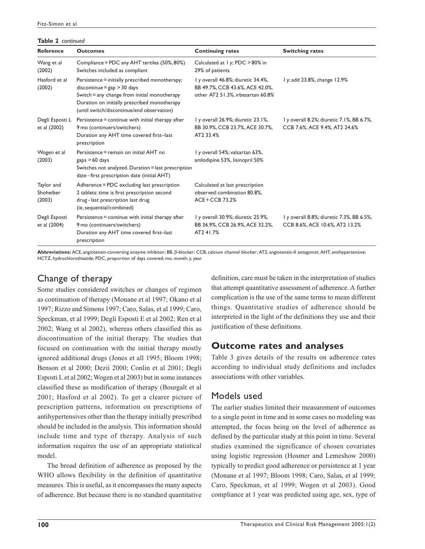#### **Table 2** *continued*

| <b>Reference</b>                  | <b>Outcomes</b>                                                                                                                                                                                                                | <b>Continuing rates</b>                                                                                    | <b>Switching rates</b>                                                      |
|-----------------------------------|--------------------------------------------------------------------------------------------------------------------------------------------------------------------------------------------------------------------------------|------------------------------------------------------------------------------------------------------------|-----------------------------------------------------------------------------|
| Wang et al<br>(2002)              | Compliance = PDC any AHT tertiles (50%, 80%)<br>Switches included as compliant                                                                                                                                                 | Calculated at 1 y; PDC > 80% in<br>29% of patients                                                         |                                                                             |
| Hasford et al<br>(2002)           | Persistence = initially prescribed monotherapy;<br>$discontinue = gap > 30 days$<br>Switch = any change from initial monotherapy<br>Duration on initially prescribed monotherapy<br>(until switch/discontinue/end observation) | I y overall 46.8%; diuretic 34.4%,<br>BB 49.7%, CCB 43.6%, ACE 42.0%,<br>other AT2 51.3%, irbesartan 60.8% | I y; add 23.8%, change 12.9%                                                |
| Degli Esposti L<br>et al (2002)   | Persistence = continue with initial therapy after<br>9 mo (continuers/switchers)<br>Duration any AHT time covered first-last<br>prescription                                                                                   | I y overall 26.9%; diuretic 23.1%,<br>BB 30.9%, CCB 23.7%, ACE 30.7%,<br>AT2 33.4%                         | I y overall 8.2%; diuretic 7.1%, BB 6.7%,<br>CCB 7.6%, ACE 9.4%, AT2 24.6%  |
| Wogen et al<br>(2003)             | Persistence = remain on initial AHT no<br>$_{\text{gaps}}$ > 60 days<br>Switches not analyzed. Duration = last prescription<br>date-first prescription date (initial AHT)                                                      | I y overall 54%; valsartan 63%,<br>amlodipine 53%, lisinopril 50%                                          |                                                                             |
| Taylor and<br>Shoheiber<br>(2003) | Adherence = PDC excluding last prescription<br>2 tablets: time is first prescription second<br>drug-last prescription last drug<br>(ie, sequential/combined)                                                                   | Calculated at last prescription<br>observed: combination 80.8%,<br>ACE + CCB 73.2%                         |                                                                             |
| Degli Esposti<br>et al (2004)     | Persistence = continue with initial therapy after<br>9 mo (continuers/switchers)<br>Duration any AHT time covered first-last<br>prescription                                                                                   | I y overall 30.9%; diuretic 25.9%,<br>BB 36.9%, CCB 26.9%, ACE 32.2%,<br>AT241.7%                          | 1 y overall 8.8%; diuretic 7.3%, BB 6.5%,<br>CCB 8.6%, ACE 10.6%, AT2 13.2% |

**Abbreviations:** ACE, angiotensin-converting enzyme inhibitor; BB, β-blocker; CCB, calcium channel blocker; AT2, angiotensin-II antagonist; AHT, antihypertensive; HCTZ, hydrochlorothiazide; PDC, proportion of days covered; mo, month; y, year.

## Change of therapy

Some studies considered switches or changes of regimen as continuation of therapy (Monane et al 1997; Okano et al 1997; Rizzo and Simons 1997; Caro, Salas, et al 1999; Caro, Speckman, et al 1999; Degli Esposti E et al 2002; Ren et al 2002; Wang et al 2002), whereas others classified this as discontinuation of the initial therapy. The studies that focused on continuation with the initial therapy mostly ignored additional drugs (Jones et all 1995; Bloom 1998; Benson et al 2000; Dezii 2000; Conlin et al 2001; Degli Esposti L et al 2002; Wogen et al 2003) but in some instances classified these as modification of therapy (Bourgalt et al 2001; Hasford et al 2002). To get a clearer picture of prescription patterns, information on prescriptions of antihypertensives other than the therapy initially prescribed should be included in the analysis. This information should include time and type of therapy. Analysis of such information requires the use of an appropriate statistical model.

The broad definition of adherence as proposed by the WHO allows flexibility in the definition of quantitative measures. This is useful, as it encompasses the many aspects of adherence. But because there is no standard quantitative

definition, care must be taken in the interpretation of studies that attempt quantitative assessment of adherence. A further complication is the use of the same terms to mean different things. Quantitative studies of adherence should be interpreted in the light of the definitions they use and their justification of these definitions.

## **Outcome rates and analyses**

Table 3 gives details of the results on adherence rates according to individual study definitions and includes associations with other variables.

## Models used

The earlier studies limited their measurement of outcomes to a single point in time and in some cases no modeling was attempted, the focus being on the level of adherence as defined by the particular study at this point in time. Several studies examined the significance of chosen covariates using logistic regression (Hosmer and Lemeshow 2000) typically to predict good adherence or persistence at 1 year (Monane et al 1997; Bloom 1998; Caro, Salas, et al 1999; Caro, Speckman, et al 1999; Wogen et al 2003). Good compliance at 1 year was predicted using age, sex, type of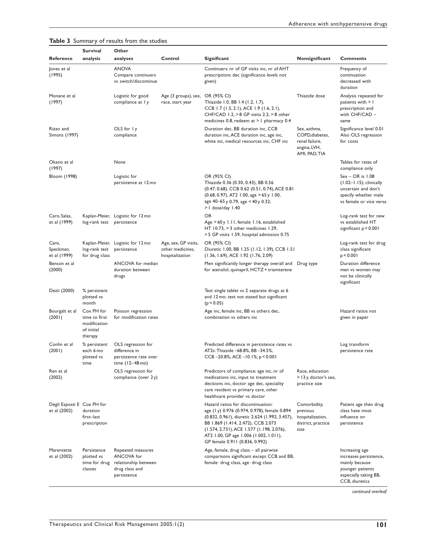|                                            | <b>Survival</b>                                                      | Other                                                                                    |                                                             |                                                                                                                                                                                                                                                                                                    |                                                                                    |                                                                                                                           |
|--------------------------------------------|----------------------------------------------------------------------|------------------------------------------------------------------------------------------|-------------------------------------------------------------|----------------------------------------------------------------------------------------------------------------------------------------------------------------------------------------------------------------------------------------------------------------------------------------------------|------------------------------------------------------------------------------------|---------------------------------------------------------------------------------------------------------------------------|
| <b>Reference</b>                           | analysis                                                             | analyses                                                                                 | Control                                                     | Significant                                                                                                                                                                                                                                                                                        | Nonsignificant                                                                     | <b>Comments</b>                                                                                                           |
| Jones et al<br>(1995)                      |                                                                      | <b>ANOVA</b><br>Compare continuers<br>vs switch/discontinue                              |                                                             | Continuers: nr of GP visits inc, nr of AHT<br>prescriptions dec (significance levels not<br>given)                                                                                                                                                                                                 |                                                                                    | Frequency of<br>continuation<br>decreased with<br>duration                                                                |
| Monane et al<br>(1997)                     |                                                                      | Logistic for good<br>compliance at 1 y                                                   | Age (3 groups), sex,<br>race, start year                    | OR (95% CI)<br>Thiazide 1.0, BB 1.4 (1.2, 1.7),<br>CCB 1.7 (1.5, 2.1), ACE 1.9 (1.6, 2.1),<br>CHF/CAD 1.2, > 8 GP visits 2.2, > 8 other<br>medicines 0.8, redeem at > 1 pharmacy 0.4                                                                                                               | Thiazide dose                                                                      | Analysis repeated for<br>patients with > I<br>prescription and<br>with CHF/CAD -<br>same                                  |
| Rizzo and<br><b>Simons (1997)</b>          |                                                                      | OLS for I y<br>compliance                                                                |                                                             | Duration dec, BB duration inc, CCB<br>duration inc, ACE duration inc, age inc,<br>white inc, medical resources inc, CHF inc                                                                                                                                                                        | Sex, asthma,<br>COPD, diabetes,<br>renal failure,<br>angina, LVH,<br>AMI, PAD, TIA | Significance level 0.01<br>Also OLS regression<br>for costs                                                               |
| Okano et al<br>(1997)                      |                                                                      | None                                                                                     |                                                             |                                                                                                                                                                                                                                                                                                    |                                                                                    | Tables for rates of<br>compliance only                                                                                    |
| Bloom (1998)                               |                                                                      | Logistic for<br>persistence at 12 mo                                                     |                                                             | OR (95% CI)<br>Thiazide 0.36 (0.30, 0.43), BB 0.56<br>(0.47, 0.68), CCB 0.62 (0.51, 0.74), ACE 0.81<br>$(0.68, 0.97)$ , AT2 1.00, age > 65 y 1.00,<br>age 40-65 y 0.79, age < 40 y 0.32;<br>> I dose/day 1.40                                                                                      |                                                                                    | $Sex - OR$ is $1.08$<br>(1.02-1.15); clinically<br>uncertain and don't<br>specify whether male<br>vs female or vice versa |
| Caro, Salas,<br>et al (1999)               | log-rank test persistence                                            | Kaplan-Meier, Logistic for 12 mo                                                         |                                                             | OR<br>Age > 60y 1.11, female 1.16, established<br>HT $10.73$ , $>3$ other medicines 1.29,<br>> 5 GP visits 1.59, hospital admission 0.75                                                                                                                                                           |                                                                                    | Log-rank test for new<br>vs established HT<br>significant $p < 0.001$                                                     |
| Caro,<br>Speckman,<br>et al (1999)         | log-rank test<br>for drug class                                      | Kaplan-Meier, Logistic for 12 mo<br>persistence                                          | Age, sex, GP visits,<br>other medicines,<br>hospitalization | OR (95% CI)<br>Diuretic 1.00, BB 1.25 (1.12, 1.39), CCB 1.51<br>(1.36, 1.69), ACE 1.92 (1.76, 2.09)                                                                                                                                                                                                |                                                                                    | Log-rank test for drug<br>class significant<br>p < 0.001                                                                  |
| Benson et al<br>(2000)                     |                                                                      | ANCOVA for median<br>duration between<br>drugs                                           |                                                             | Men significantly longer therapy overall and<br>for atenolol, quinapril, HCTZ + triamterene                                                                                                                                                                                                        | Drug type                                                                          | Duration difference<br>men vs women may<br>not be clinically<br>significant                                               |
| Dezii (2000)                               | % persistent<br>plotted vs<br>month                                  |                                                                                          |                                                             | Test single tablet vs 2 separate drugs at 6<br>and 12 mo; test not stated but significant<br>(p < 0.05)                                                                                                                                                                                            |                                                                                    |                                                                                                                           |
| Bourgalt et al<br>(2001)                   | Cox PH for<br>time to first<br>modification<br>of initial<br>therapy | Poisson regression<br>for modification rates                                             |                                                             | Age inc, female inc, BB vs others dec,<br>combination vs others inc                                                                                                                                                                                                                                |                                                                                    | Hazard ratios not<br>given in paper                                                                                       |
| Conlin et al<br>(2001)                     | % persistent<br>each 6 mo<br>plotted vs<br>time                      | OLS regression for<br>difference in<br>persistence rate over<br>time (12-48 mo)          |                                                             | Predicted difference in persistence rates vs<br>AT2s: Thiazide -68.8%, BB -34.5%,<br>CCB-20.8%, ACE-10.1%; p < 0.001                                                                                                                                                                               |                                                                                    | Log transform<br>persistence rate                                                                                         |
| Ren et al<br>(2002)                        |                                                                      | OLS regression for<br>compliance (over 2y)                                               |                                                             | Predictors of compliance: age inc, nr of<br>medications inc, input to treatment<br>decisions inc, doctor age dec, speciality<br>care resident vs primary care, other<br>healthcare provider vs doctor                                                                                              | Race, education<br>> 13 y, doctor's sex,<br>practice size                          |                                                                                                                           |
| Degli Esposti E Cox PH for<br>et al (2002) | duration<br>first-last<br>prescription                               |                                                                                          |                                                             | Hazard ratios for discontinuation:<br>age (1y) 0.976 (0.974, 0.978), female 0.894<br>(0.832, 0.961), diuretic 2.624 (1.992, 3.457),<br>BB 1.869 (1.414, 2.472), CCB 2.073<br>(1.574, 2.731), ACE 1.577 (1.198, 2.076),<br>AT2 1.00, GP age 1.006 (1.002, 1.011),<br>GP female 0.911 (0.836, 0.992) | Comorbidity,<br>previous<br>hospitalization,<br>district, practice<br>size         | Patient age then drug<br>class have most<br>influence on<br>persistence                                                   |
| Marentette<br>et al (2002)                 | Persistence<br>plotted vs<br>time for drug<br>classes                | Repeated measures<br>ANCOVA for<br>relationship between<br>drug class and<br>persistence |                                                             | Age, female, drug class - all pairwise<br>comparisons significant except CCB and BB,<br>female · drug class, age · drug class                                                                                                                                                                      |                                                                                    | Increasing age<br>increases persistence,<br>mainly because<br>younger patients<br>especially taking BB,<br>CCB, diuretics |

**Table 3** Summary of results from the studies

*continued overleaf*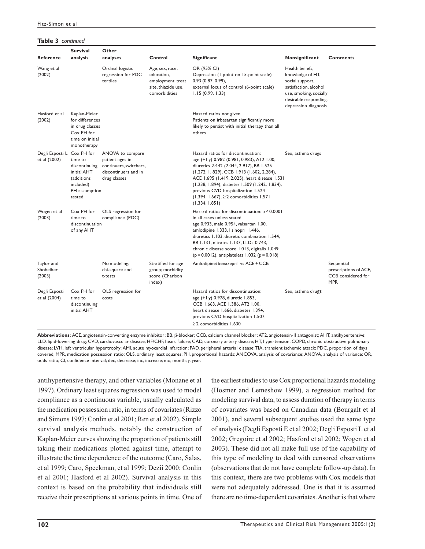#### **Table 3** *continued*

| <b>Reference</b>                  | <b>Survival</b><br>analysis                                                                                 | Other<br>analyses                                                                                     | Control                                                                                    | Significant                                                                                                                                                                                                                                                                                                                                                                   | Nonsignificant                                                                                                                                             | <b>Comments</b>                                                         |
|-----------------------------------|-------------------------------------------------------------------------------------------------------------|-------------------------------------------------------------------------------------------------------|--------------------------------------------------------------------------------------------|-------------------------------------------------------------------------------------------------------------------------------------------------------------------------------------------------------------------------------------------------------------------------------------------------------------------------------------------------------------------------------|------------------------------------------------------------------------------------------------------------------------------------------------------------|-------------------------------------------------------------------------|
| Wang et al<br>(2002)              |                                                                                                             | Ordinal logistic<br>regression for PDC<br>tertiles                                                    | Age, sex, race,<br>education,<br>employment, treat<br>site, thiazide use,<br>comorbidities | OR (95% CI)<br>Depression (I point on 15-point scale)<br>0.93(0.87, 0.99),<br>external locus of control (6-point scale)<br>1.15(0.99, 1.33)                                                                                                                                                                                                                                   | Health beliefs,<br>knowledge of HT,<br>social support,<br>satisfaction, alcohol<br>use, smoking, socially<br>desirable responding,<br>depression diagnosis |                                                                         |
| Hasford et al<br>(2002)           | Kaplan-Meier<br>for differences<br>in drug classes<br>Cox PH for<br>time on initial<br>monotherapy          |                                                                                                       |                                                                                            | Hazard ratios not given<br>Patients on irbesartan significantly more<br>likely to persist with initial therapy than all<br>others                                                                                                                                                                                                                                             |                                                                                                                                                            |                                                                         |
| Degli Esposti L<br>et al (2002)   | Cox PH for<br>time to<br>discontinuing<br>initial AHT<br>(additions<br>included)<br>PH assumption<br>tested | ANOVA to compare<br>patient ages in<br>continuers, switchers,<br>discontinuers and in<br>drug classes |                                                                                            | Hazard ratios for discontinuation:<br>age (+1y) 0.982 (0.981, 0.983), AT2 1.00,<br>diuretics 2.442 (2.044, 2.917), BB 1.525<br>(1.272, 1.829), CCB 1.913 (1.602, 2.284),<br>ACE 1.695 (1.419, 2.025), heart disease 1.531<br>(1.238, 1.894), diabetes 1.509 (1.242, 1.834),<br>previous CVD hospitalization 1.524<br>(1.394, 1.667), ≥2 comorbidities 1.571<br>(1.334, 1.851) | Sex, asthma drugs                                                                                                                                          |                                                                         |
| Wogen et al<br>(2003)             | Cox PH for<br>time to<br>discontinuation<br>of any AHT                                                      | OLS regression for<br>compliance (PDC)                                                                |                                                                                            | Hazard ratios for discontinuation: p < 0.0001<br>in all cases unless stated:<br>age 0.933, male 0.954, valsartan 1.00,<br>amlodipine 1.333, lisinopril 1.446,<br>diuretics 1.103, diuretic combination 1.544,<br>BB 1.131, nitrates 1.137, LLDs 0.743,<br>chronic disease score 1.013, digitalis 1.049<br>$(p = 0.0012)$ , antiplatelets 1.032 (p = 0.018)                    |                                                                                                                                                            |                                                                         |
| Taylor and<br>Shoheiber<br>(2003) |                                                                                                             | No modeling;<br>chi-square and<br>t-tests                                                             | Stratified for age<br>group; morbidity<br>score (Charlson<br>index)                        | Amlodipine/benazepril vs ACE + CCB                                                                                                                                                                                                                                                                                                                                            |                                                                                                                                                            | Sequential<br>prescriptions of ACE,<br>CCB considered for<br><b>MPR</b> |
| Degli Esposti<br>et al (2004)     | Cox PH for<br>time to<br>discontinuing<br>initial AHT                                                       | OLS regression for<br>costs                                                                           |                                                                                            | Hazard ratios for discontinuation:<br>age (+1y) 0.978, diuretic 1.853,<br>CCB 1.663, ACE 1.386, AT2 1.00,<br>heart disease 1.666, diabetes 1.394,<br>previous CVD hospitalization 1.507,<br>$\geq$ 2 comorbidities 1.630                                                                                                                                                      | Sex, asthma drugs                                                                                                                                          |                                                                         |

**Abbreviations:** ACE, angiotensin-converting enzyme inhibitor; BB, β-blocker; CCB, calcium channel blocker; AT2, angiotensin-II antagonist; AHT, antihypertensive; LLD, lipid-lowering drug; CVD, cardiovascular disease; HF/CHF, heart failure; CAD, coronary artery disease; HT, hypertension; COPD, chronic obstructive pulmonary disease; LVH, left ventricular hypertrophy; AMI, acute myocardial infarction; PAD, peripheral arterial disease; TIA, transient ischemic attack; PDC, proportion of days covered; MPR, medication possession ratio; OLS, ordinary least squares; PH, proportional hazards; ANCOVA, analysis of covariance; ANOVA, analysis of variance; OR, odds ratio; CI, confidence interval; dec, decrease; inc, increase; mo, month; y, year.

antihypertensive therapy, and other variables (Monane et al 1997). Ordinary least squares regression was used to model compliance as a continuous variable, usually calculated as the medication possession ratio, in terms of covariates (Rizzo and Simons 1997; Conlin et al 2001; Ren et al 2002). Simple survival analysis methods, notably the construction of Kaplan-Meier curves showing the proportion of patients still taking their medications plotted against time, attempt to illustrate the time dependence of the outcome (Caro, Salas, et al 1999; Caro, Speckman, et al 1999; Dezii 2000; Conlin et al 2001; Hasford et al 2002). Survival analysis in this context is based on the probability that individuals still receive their prescriptions at various points in time. One of the earliest studies to use Cox proportional hazards modeling (Hosmer and Lemeshow 1999), a regression method for modeling survival data, to assess duration of therapy in terms of covariates was based on Canadian data (Bourgalt et al 2001), and several subsequent studies used the same type of analysis (Degli Esposti E et al 2002; Degli Esposti L et al 2002; Gregoire et al 2002; Hasford et al 2002; Wogen et al 2003). These did not all make full use of the capability of this type of modeling to deal with censored observations (observations that do not have complete follow-up data). In this context, there are two problems with Cox models that were not adequately addressed. One is that it is assumed there are no time-dependent covariates. Another is that where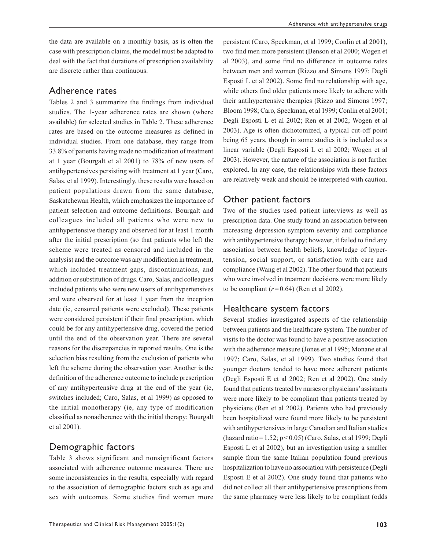the data are available on a monthly basis, as is often the case with prescription claims, the model must be adapted to deal with the fact that durations of prescription availability are discrete rather than continuous.

#### Adherence rates

Tables 2 and 3 summarize the findings from individual studies. The 1-year adherence rates are shown (where available) for selected studies in Table 2. These adherence rates are based on the outcome measures as defined in individual studies. From one database, they range from 33.8% of patients having made no modification of treatment at 1 year (Bourgalt et al 2001) to 78% of new users of antihypertensives persisting with treatment at 1 year (Caro, Salas, et al 1999). Interestingly, these results were based on patient populations drawn from the same database, Saskatchewan Health, which emphasizes the importance of patient selection and outcome definitions. Bourgalt and colleagues included all patients who were new to antihypertensive therapy and observed for at least 1 month after the initial prescription (so that patients who left the scheme were treated as censored and included in the analysis) and the outcome was any modification in treatment, which included treatment gaps, discontinuations, and addition or substitution of drugs. Caro, Salas, and colleagues included patients who were new users of antihypertensives and were observed for at least 1 year from the inception date (ie, censored patients were excluded). These patients were considered persistent if their final prescription, which could be for any antihypertensive drug, covered the period until the end of the observation year. There are several reasons for the discrepancies in reported results. One is the selection bias resulting from the exclusion of patients who left the scheme during the observation year. Another is the definition of the adherence outcome to include prescription of any antihypertensive drug at the end of the year (ie, switches included; Caro, Salas, et al 1999) as opposed to the initial monotherapy (ie, any type of modification classified as nonadherence with the initial therapy; Bourgalt et al 2001).

## Demographic factors

Table 3 shows significant and nonsignificant factors associated with adherence outcome measures. There are some inconsistencies in the results, especially with regard to the association of demographic factors such as age and sex with outcomes. Some studies find women more persistent (Caro, Speckman, et al 1999; Conlin et al 2001), two find men more persistent (Benson et al 2000; Wogen et al 2003), and some find no difference in outcome rates between men and women (Rizzo and Simons 1997; Degli Esposti L et al 2002). Some find no relationship with age, while others find older patients more likely to adhere with their antihypertensive therapies (Rizzo and Simons 1997; Bloom 1998; Caro, Speckman, et al 1999; Conlin et al 2001; Degli Esposti L et al 2002; Ren et al 2002; Wogen et al 2003). Age is often dichotomized, a typical cut-off point being 65 years, though in some studies it is included as a linear variable (Degli Esposti L et al 2002; Wogen et al 2003). However, the nature of the association is not further explored. In any case, the relationships with these factors are relatively weak and should be interpreted with caution.

# Other patient factors

Two of the studies used patient interviews as well as prescription data. One study found an association between increasing depression symptom severity and compliance with antihypertensive therapy; however, it failed to find any association between health beliefs, knowledge of hypertension, social support, or satisfaction with care and compliance (Wang et al 2002). The other found that patients who were involved in treatment decisions were more likely to be compliant  $(r=0.64)$  (Ren et al 2002).

# Healthcare system factors

Several studies investigated aspects of the relationship between patients and the healthcare system. The number of visits to the doctor was found to have a positive association with the adherence measure (Jones et al 1995; Monane et al 1997; Caro, Salas, et al 1999). Two studies found that younger doctors tended to have more adherent patients (Degli Esposti E et al 2002; Ren et al 2002). One study found that patients treated by nurses or physicians' assistants were more likely to be compliant than patients treated by physicians (Ren et al 2002). Patients who had previously been hospitalized were found more likely to be persistent with antihypertensives in large Canadian and Italian studies (hazard ratio=1.52; p <0.05) (Caro, Salas, et al 1999; Degli Esposti L et al 2002), but an investigation using a smaller sample from the same Italian population found previous hospitalization to have no association with persistence (Degli Esposti E et al 2002). One study found that patients who did not collect all their antihypertensive prescriptions from the same pharmacy were less likely to be compliant (odds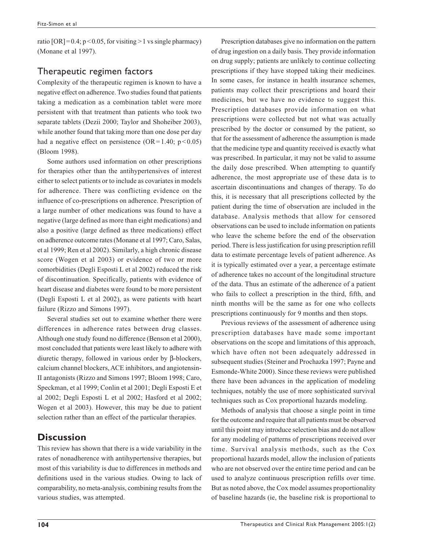ratio  $[OR]=0.4$ ;  $p < 0.05$ , for visiting  $>1$  vs single pharmacy) (Monane et al 1997).

## Therapeutic regimen factors

Complexity of the therapeutic regimen is known to have a negative effect on adherence. Two studies found that patients taking a medication as a combination tablet were more persistent with that treatment than patients who took two separate tablets (Dezii 2000; Taylor and Shoheiber 2003), while another found that taking more than one dose per day had a negative effect on persistence (OR=1.40;  $p < 0.05$ ) (Bloom 1998).

Some authors used information on other prescriptions for therapies other than the antihypertensives of interest either to select patients or to include as covariates in models for adherence. There was conflicting evidence on the influence of co-prescriptions on adherence. Prescription of a large number of other medications was found to have a negative (large defined as more than eight medications) and also a positive (large defined as three medications) effect on adherence outcome rates (Monane et al 1997; Caro, Salas, et al 1999; Ren et al 2002). Similarly, a high chronic disease score (Wogen et al 2003) or evidence of two or more comorbidities (Degli Esposti L et al 2002) reduced the risk of discontinuation. Specifically, patients with evidence of heart disease and diabetes were found to be more persistent (Degli Esposti L et al 2002), as were patients with heart failure (Rizzo and Simons 1997).

Several studies set out to examine whether there were differences in adherence rates between drug classes. Although one study found no difference (Benson et al 2000), most concluded that patients were least likely to adhere with diuretic therapy, followed in various order by β-blockers, calcium channel blockers, ACE inhibitors, and angiotensin-II antagonists (Rizzo and Simons 1997; Bloom 1998; Caro, Speckman, et al 1999; Conlin et al 2001; Degli Esposti E et al 2002; Degli Esposti L et al 2002; Hasford et al 2002; Wogen et al 2003). However, this may be due to patient selection rather than an effect of the particular therapies.

# **Discussion**

This review has shown that there is a wide variability in the rates of nonadherence with antihypertensive therapies, but most of this variability is due to differences in methods and definitions used in the various studies. Owing to lack of comparability, no meta-analysis, combining results from the various studies, was attempted.

Prescription databases give no information on the pattern of drug ingestion on a daily basis. They provide information on drug supply; patients are unlikely to continue collecting prescriptions if they have stopped taking their medicines. In some cases, for instance in health insurance schemes, patients may collect their prescriptions and hoard their medicines, but we have no evidence to suggest this. Prescription databases provide information on what prescriptions were collected but not what was actually prescribed by the doctor or consumed by the patient, so that for the assessment of adherence the assumption is made that the medicine type and quantity received is exactly what was prescribed. In particular, it may not be valid to assume the daily dose prescribed. When attempting to quantify adherence, the most appropriate use of these data is to ascertain discontinuations and changes of therapy. To do this, it is necessary that all prescriptions collected by the patient during the time of observation are included in the database. Analysis methods that allow for censored observations can be used to include information on patients who leave the scheme before the end of the observation period. There is less justification for using prescription refill data to estimate percentage levels of patient adherence. As it is typically estimated over a year, a percentage estimate of adherence takes no account of the longitudinal structure of the data. Thus an estimate of the adherence of a patient who fails to collect a prescription in the third, fifth, and ninth months will be the same as for one who collects prescriptions continuously for 9 months and then stops.

Previous reviews of the assessment of adherence using prescription databases have made some important observations on the scope and limitations of this approach, which have often not been adequately addressed in subsequent studies (Steiner and Prochazka 1997; Payne and Esmonde-White 2000). Since these reviews were published there have been advances in the application of modeling techniques, notably the use of more sophisticated survival techniques such as Cox proportional hazards modeling.

Methods of analysis that choose a single point in time for the outcome and require that all patients must be observed until this point may introduce selection bias and do not allow for any modeling of patterns of prescriptions received over time. Survival analysis methods, such as the Cox proportional hazards model, allow the inclusion of patients who are not observed over the entire time period and can be used to analyze continuous prescription refills over time. But as noted above, the Cox model assumes proportionality of baseline hazards (ie, the baseline risk is proportional to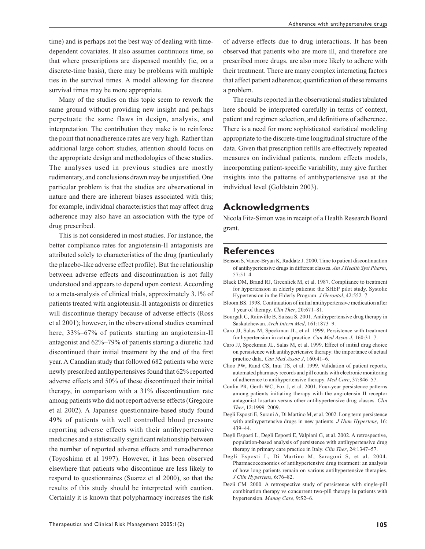time) and is perhaps not the best way of dealing with timedependent covariates. It also assumes continuous time, so that where prescriptions are dispensed monthly (ie, on a discrete-time basis), there may be problems with multiple ties in the survival times. A model allowing for discrete survival times may be more appropriate.

Many of the studies on this topic seem to rework the same ground without providing new insight and perhaps perpetuate the same flaws in design, analysis, and interpretation. The contribution they make is to reinforce the point that nonadherence rates are very high. Rather than additional large cohort studies, attention should focus on the appropriate design and methodologies of these studies. The analyses used in previous studies are mostly rudimentary, and conclusions drawn may be unjustified. One particular problem is that the studies are observational in nature and there are inherent biases associated with this; for example, individual characteristics that may affect drug adherence may also have an association with the type of drug prescribed.

This is not considered in most studies. For instance, the better compliance rates for angiotensin-II antagonists are attributed solely to characteristics of the drug (particularly the placebo-like adverse effect profile). But the relationship between adverse effects and discontinuation is not fully understood and appears to depend upon context. According to a meta-analysis of clinical trials, approximately 3.1% of patients treated with angiotensin-II antagonists or diuretics will discontinue therapy because of adverse effects (Ross et al 2001); however, in the observational studies examined here,  $33\%-67\%$  of patients starting an angiotensin-II antagonist and 62%–79% of patients starting a diuretic had discontinued their initial treatment by the end of the first year. A Canadian study that followed 682 patients who were newly prescribed antihypertensives found that 62% reported adverse effects and 50% of these discontinued their initial therapy, in comparison with a 31% discontinuation rate among patients who did not report adverse effects (Gregoire et al 2002). A Japanese questionnaire-based study found 49% of patients with well controlled blood pressure reporting adverse effects with their antihypertensive medicines and a statistically significant relationship between the number of reported adverse effects and nonadherence (Toyoshima et al 1997). However, it has been observed elsewhere that patients who discontinue are less likely to respond to questionnaires (Suarez et al 2000), so that the results of this study should be interpreted with caution. Certainly it is known that polypharmacy increases the risk of adverse effects due to drug interactions. It has been observed that patients who are more ill, and therefore are prescribed more drugs, are also more likely to adhere with their treatment. There are many complex interacting factors that affect patient adherence; quantification of these remains a problem.

The results reported in the observational studies tabulated here should be interpreted carefully in terms of context, patient and regimen selection, and definitions of adherence. There is a need for more sophisticated statistical modeling appropriate to the discrete-time longitudinal structure of the data. Given that prescription refills are effectively repeated measures on individual patients, random effects models, incorporating patient-specific variability, may give further insights into the patterns of antihypertensive use at the individual level (Goldstein 2003).

#### **Acknowledgments**

Nicola Fitz-Simon was in receipt of a Health Research Board grant.

#### **References**

- Benson S, Vance-Bryan K, Raddatz J. 2000. Time to patient discontinuation of antihypertensive drugs in different classes. *Am J Health Syst Pharm*, 57:51–4.
- Black DM, Brand RJ, Greenlick M, et al. 1987. Compliance to treatment for hypertension in elderly patients: the SHEP pilot study. Systolic Hypertension in the Elderly Program. *J Gerontol*, 42:552–7.
- Bloom BS. 1998. Continuation of initial antihypertensive medication after 1 year of therapy. *Clin Ther*, 20:671–81.
- Bourgalt C, Rainville B, Suissa S. 2001. Antihypertensive drug therapy in Saskatchewan. *Arch Intern Med*, 161:1873–9.
- Caro JJ, Salas M, Speckman JL, et al. 1999. Persistence with treatment for hypertension in actual practice. *Can Med Assoc J*, 160:31–7.
- Caro JJ, Speckman JL, Salas M, et al. 1999. Effect of initial drug choice on persistence with antihypertensive therapy: the importance of actual practice data. *Can Med Assoc J*, 160:41–6.
- Choo PW, Rand CS, Inui TS, et al. 1999. Validation of patient reports, automated pharmacy records and pill counts with electronic monitoring of adherence to antihypertensive therapy. *Med Care*, 37:846–57.
- Conlin PR, Gerth WC, Fox J, et al. 2001. Four-year persistence patterns among patients initiating therapy with the angiotensin II receptor antagonist losartan versus other antihypertensive drug classes. *Clin Ther*, 12:1999–2009.
- Degli Esposti E, Surani A, Di Martino M, et al. 2002. Long term persistence with antihypertensive drugs in new patients. *J Hum Hypertens*, 16: 439–44.
- Degli Esposti L, Degli Esposti E, Valpiani G, et al. 2002. A retrospective, population-based analysis of persistence with antihypertensive drug therapy in primary care practice in Italy. *Clin Ther*, 24:1347–57.
- Degli Esposti L, Di Martino M, Saragoni S, et al. 2004. Pharmacoeconomics of antihypertensive drug treatment: an analysis of how long patients remain on various antihypertensive therapies. *J Clin Hypertens*, 6:76–82.
- Dezii CM. 2000. A retrospective study of persistence with single-pill combination therapy vs concurrent two-pill therapy in patients with hypertension. *Manag Care*, 9:S2–6.